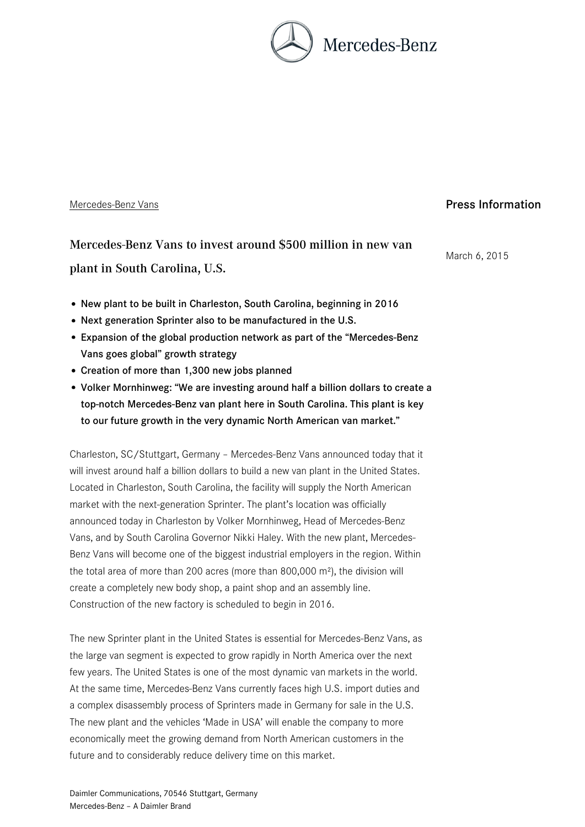

## Mercedes-Benz Vans

Press Information

Mercedes-Benz Vans to invest around \$500 million in new van plant in South Carolina, U.S.

March 6, 2015

- New plant to be built in Charleston, South Carolina, beginning in 2016
- Next generation Sprinter also to be manufactured in the U.S.
- Expansion of the global production network as part of the "Mercedes-Benz Vans goes global" growth strategy
- Creation of more than 1,300 new jobs planned
- Volker Mornhinweg: "We are investing around half a billion dollars to create a top-notch Mercedes-Benz van plant here in South Carolina. This plant is key to our future growth in the very dynamic North American van market."

Charleston, SC/Stuttgart, Germany – Mercedes-Benz Vans announced today that it will invest around half a billion dollars to build a new van plant in the United States. Located in Charleston, South Carolina, the facility will supply the North American market with the next-generation Sprinter. The plant's location was officially announced today in Charleston by Volker Mornhinweg, Head of Mercedes-Benz Vans, and by South Carolina Governor Nikki Haley. With the new plant, Mercedes-Benz Vans will become one of the biggest industrial employers in the region. Within the total area of more than 200 acres (more than 800,000 m²), the division will create a completely new body shop, a paint shop and an assembly line. Construction of the new factory is scheduled to begin in 2016.

The new Sprinter plant in the United States is essential for Mercedes-Benz Vans, as the large van segment is expected to grow rapidly in North America over the next few years. The United States is one of the most dynamic van markets in the world. At the same time, Mercedes-Benz Vans currently faces high U.S. import duties and a complex disassembly process of Sprinters made in Germany for sale in the U.S. The new plant and the vehicles 'Made in USA' will enable the company to more economically meet the growing demand from North American customers in the future and to considerably reduce delivery time on this market.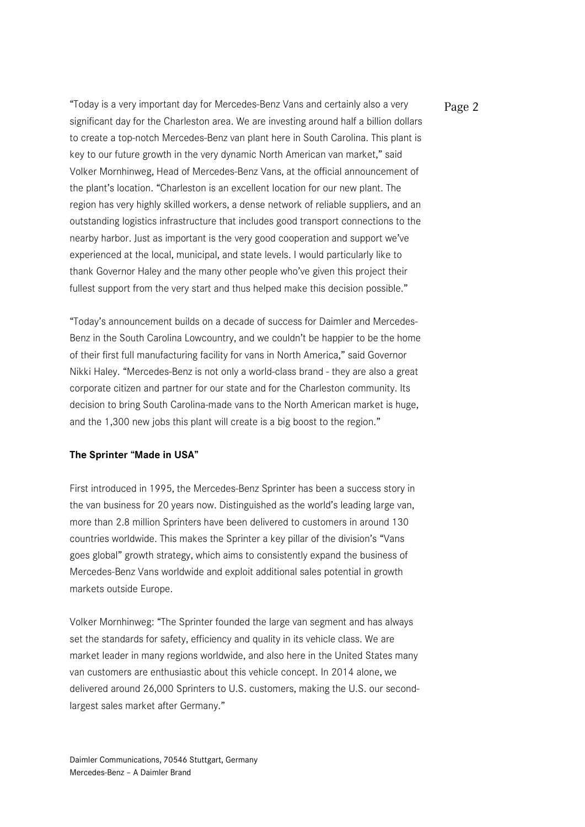"Today is a very important day for Mercedes-Benz Vans and certainly also a very  $Page 2$ significant day for the Charleston area. We are investing around half a billion dollars to create a top-notch Mercedes-Benz van plant here in South Carolina. This plant is key to our future growth in the very dynamic North American van market," said Volker Mornhinweg, Head of Mercedes-Benz Vans, at the official announcement of the plant's location. "Charleston is an excellent location for our new plant. The region has very highly skilled workers, a dense network of reliable suppliers, and an outstanding logistics infrastructure that includes good transport connections to the nearby harbor. Just as important is the very good cooperation and support we've experienced at the local, municipal, and state levels. I would particularly like to thank Governor Haley and the many other people who've given this project their fullest support from the very start and thus helped make this decision possible."

"Today's announcement builds on a decade of success for Daimler and Mercedes-Benz in the South Carolina Lowcountry, and we couldn't be happier to be the home of their first full manufacturing facility for vans in North America," said Governor Nikki Haley. "Mercedes-Benz is not only a world-class brand - they are also a great corporate citizen and partner for our state and for the Charleston community. Its decision to bring South Carolina-made vans to the North American market is huge, and the 1,300 new jobs this plant will create is a big boost to the region."

## **The Sprinter "Made in USA"**

First introduced in 1995, the Mercedes-Benz Sprinter has been a success story in the van business for 20 years now. Distinguished as the world's leading large van, more than 2.8 million Sprinters have been delivered to customers in around 130 countries worldwide. This makes the Sprinter a key pillar of the division's "Vans goes global" growth strategy, which aims to consistently expand the business of Mercedes-Benz Vans worldwide and exploit additional sales potential in growth markets outside Europe.

Volker Mornhinweg: "The Sprinter founded the large van segment and has always set the standards for safety, efficiency and quality in its vehicle class. We are market leader in many regions worldwide, and also here in the United States many van customers are enthusiastic about this vehicle concept. In 2014 alone, we delivered around 26,000 Sprinters to U.S. customers, making the U.S. our secondlargest sales market after Germany."